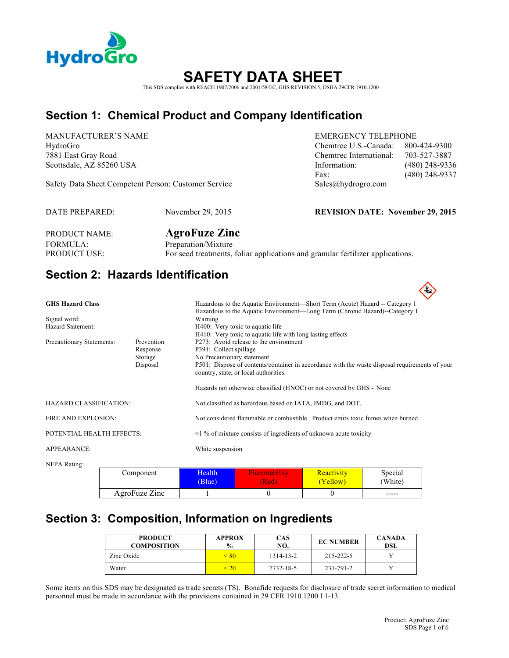

# **SAFETY DATA SH**

This SDS complies with REACH 1907/2006 and 2001/58/EC, GHS REVISION 5, OSHA 29CFR 1910.1200

# **Section 1: Chemical Product and Company Identification**

MANUFACTURER'S NAME EMERGENCY TELEPHONE

Safety Data Sheet Competent Person: Customer Service Sales@hydrogro.com

DATE PREPARED: November 29, 2015 **REVISION DATE: November 29, 2015**

HydroGro Chemtrec U.S.-Canada: 800-424-9300 7881 East Gray Road Chemtrec International: 703-527-3887 Scottsdale, AZ 85260 USA **Information:** (480) 248-9336 Fax: (480) 248-9337

PRODUCT NAME: **AgroFuze Zinc** FORMULA: Preparation/Mixture PRODUCT USE: For seed treatments, foliar applications and granular fertilizer applications.

# **Section 2: Hazards Identification**

| <b>GHS Hazard Class</b>                                                    |           |                         | Hazardous to the Aquatic Environment—Short Term (Acute) Hazard -- Category 1                                                                                                                                                                                                                            |                        |                    |  |
|----------------------------------------------------------------------------|-----------|-------------------------|---------------------------------------------------------------------------------------------------------------------------------------------------------------------------------------------------------------------------------------------------------------------------------------------------------|------------------------|--------------------|--|
| Signal word:<br>Hazard Statement:                                          |           | Warning                 | Hazardous to the Aquatic Environment—Long Term (Chronic Hazard)--Category 1<br>H400: Very toxic to aquatic life                                                                                                                                                                                         |                        |                    |  |
| Precautionary Statements:<br>Prevention<br>Response<br>Storage<br>Disposal |           |                         | H410: Very toxic to aquatic life with long lasting effects<br>P273: Avoid release to the environment<br>P391: Collect spillage<br>No Precautionary statement<br>P501: Dispose of contents/container in accordance with the waste disposal requirements of your<br>country, state, or local authorities. |                        |                    |  |
|                                                                            |           |                         | Hazards not otherwise classified (HNOC) or not covered by GHS - None                                                                                                                                                                                                                                    |                        |                    |  |
| <b>HAZARD CLASSIFICATION:</b>                                              |           |                         | Not classified as hazardous based on IATA, IMDG, and DOT.                                                                                                                                                                                                                                               |                        |                    |  |
| FIRE AND EXPLOSION:                                                        |           |                         | Not considered flammable or combustible. Product emits toxic fumes when burned.                                                                                                                                                                                                                         |                        |                    |  |
| POTENTIAL HEALTH EFFECTS:                                                  |           |                         | $\leq$ 1 % of mixture consists of ingredients of unknown acute toxicity                                                                                                                                                                                                                                 |                        |                    |  |
| APPEARANCE:                                                                |           | White suspension        |                                                                                                                                                                                                                                                                                                         |                        |                    |  |
| NFPA Rating:                                                               |           |                         |                                                                                                                                                                                                                                                                                                         |                        |                    |  |
|                                                                            | Component | <b>Health</b><br>(Blue) | Flammability<br>(Red)                                                                                                                                                                                                                                                                                   | Reactivity<br>(Yellow) | Special<br>(White) |  |

**Section 3: Composition, Information on Ingredients** 

AgroFuze  $\text{Zinc}$  1 0 0 0

| <b>PRODUCT</b><br><b>COMPOSITION</b> | <b>APPROX</b><br>$\frac{0}{0}$ | <b>CAS</b><br>NO. | <b>EC NUMBER</b> | <b>CANADA</b><br>DSL |
|--------------------------------------|--------------------------------|-------------------|------------------|----------------------|
| Zinc Oxide                           | < 80                           | 1314-13-2         | 215-222-5        |                      |
| Water                                | < 20                           | 7732-18-5         | 231-791-2        |                      |

Some items on this SDS may be designated as trade secrets (TS). Bonafide requests for disclosure of trade secret information to medical personnel must be made in accordance with the provisions contained in 29 CFR 1910.1200 I 1-13.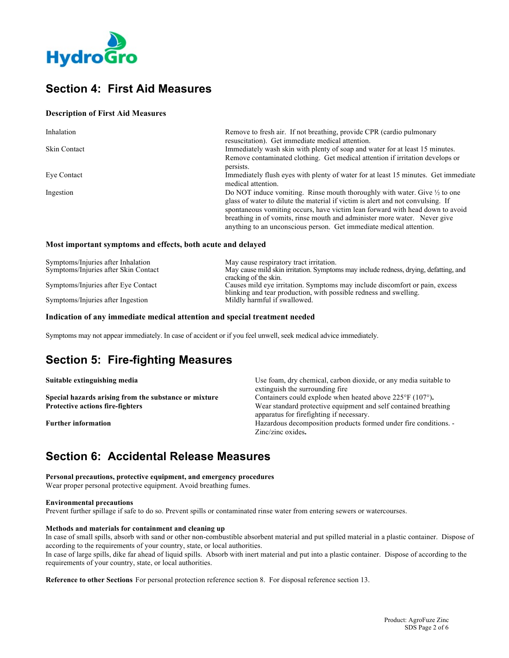

# **Section 4: First Aid Measures**

### **Description of First Aid Measures**

| Inhalation          | Remove to fresh air. If not breathing, provide CPR (cardio pulmonary<br>resuscitation). Get immediate medical attention.                                                                                                                                                                                                                                                                                     |
|---------------------|--------------------------------------------------------------------------------------------------------------------------------------------------------------------------------------------------------------------------------------------------------------------------------------------------------------------------------------------------------------------------------------------------------------|
| <b>Skin Contact</b> | Immediately wash skin with plenty of soap and water for at least 15 minutes.                                                                                                                                                                                                                                                                                                                                 |
|                     | Remove contaminated clothing. Get medical attention if irritation develops or<br>persists.                                                                                                                                                                                                                                                                                                                   |
| Eye Contact         | Immediately flush eyes with plenty of water for at least 15 minutes. Get immediate<br>medical attention.                                                                                                                                                                                                                                                                                                     |
| Ingestion           | Do NOT induce vomiting. Rinse mouth thoroughly with water. Give $\frac{1}{2}$ to one<br>glass of water to dilute the material if victim is alert and not convulsing. If<br>spontaneous vomiting occurs, have victim lean forward with head down to avoid<br>breathing in of vomits, rinse mouth and administer more water. Never give<br>anything to an unconscious person. Get immediate medical attention. |

#### **Most important symptoms and effects, both acute and delayed**

| Symptoms/Injuries after Inhalation   | May cause respiratory tract irritation.                                              |
|--------------------------------------|--------------------------------------------------------------------------------------|
| Symptoms/Injuries after Skin Contact | May cause mild skin irritation. Symptoms may include redness, drying, defatting, and |
|                                      | cracking of the skin.                                                                |
| Symptoms/Injuries after Eye Contact  | Causes mild eye irritation. Symptoms may include discomfort or pain, excess          |
|                                      | blinking and tear production, with possible redness and swelling.                    |
| Symptoms/Injuries after Ingestion    | Mildly harmful if swallowed.                                                         |

#### **Indication of any immediate medical attention and special treatment needed**

Symptoms may not appear immediately. In case of accident or if you feel unwell, seek medical advice immediately.

# **Section 5: Fire-fighting Measures**

| Suitable extinguishing media                          | Use foam, dry chemical, carbon dioxide, or any media suitable to                                            |  |
|-------------------------------------------------------|-------------------------------------------------------------------------------------------------------------|--|
|                                                       | extinguish the surrounding fire                                                                             |  |
| Special hazards arising from the substance or mixture | Containers could explode when heated above $225^{\circ}F(107^{\circ})$ .                                    |  |
| <b>Protective actions fire-fighters</b>               | Wear standard protective equipment and self contained breathing<br>apparatus for firefighting if necessary. |  |
| <b>Further information</b>                            | Hazardous decomposition products formed under fire conditions. -<br>Zinc/zinc oxides.                       |  |

# **Section 6: Accidental Release Measures**

**Personal precautions, protective equipment, and emergency procedures** Wear proper personal protective equipment. Avoid breathing fumes.

#### **Environmental precautions**

Prevent further spillage if safe to do so. Prevent spills or contaminated rinse water from entering sewers or watercourses.

#### **Methods and materials for containment and cleaning up**

In case of small spills, absorb with sand or other non-combustible absorbent material and put spilled material in a plastic container. Dispose of according to the requirements of your country, state, or local authorities.

In case of large spills, dike far ahead of liquid spills. Absorb with inert material and put into a plastic container. Dispose of according to the requirements of your country, state, or local authorities.

**Reference to other Sections** For personal protection reference section 8. For disposal reference section 13.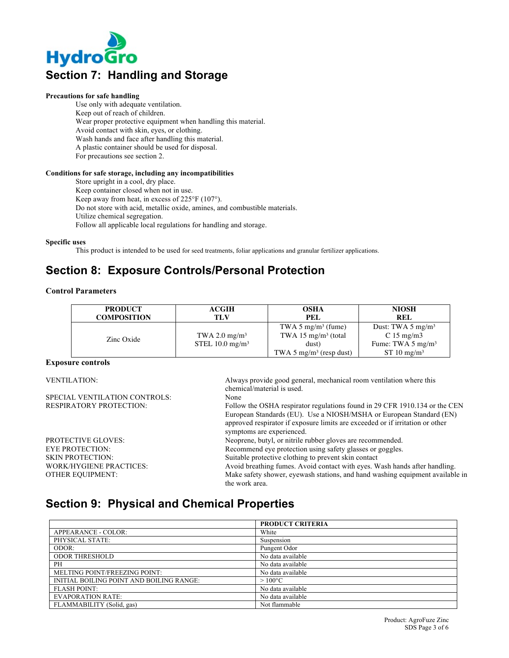

#### **Precautions for safe handling**

Use only with adequate ventilation. Keep out of reach of children. Wear proper protective equipment when handling this material. Avoid contact with skin, eyes, or clothing. Wash hands and face after handling this material. A plastic container should be used for disposal. For precautions see section 2.

#### **Conditions for safe storage, including any incompatibilities**

Store upright in a cool, dry place. Keep container closed when not in use. Keep away from heat, in excess of 225°F (107°). Do not store with acid, metallic oxide, amines, and combustible materials. Utilize chemical segregation. Follow all applicable local regulations for handling and storage.

#### **Specific uses**

This product is intended to be used for seed treatments, foliar applications and granular fertilizer applications.

# **Section 8: Exposure Controls/Personal Protection**

#### **Control Parameters**

| <b>PRODUCT</b><br><b>COMPOSITION</b> | <b>ACGIH</b><br>TLV         | <b>OSHA</b><br>PEL                                                | <b>NIOSH</b><br><b>REL</b>                                |
|--------------------------------------|-----------------------------|-------------------------------------------------------------------|-----------------------------------------------------------|
| Zinc Oxide                           | TWA 2.0 $mg/m3$             | TWA 5 mg/m <sup>3</sup> (fume)<br>TWA 15 mg/m <sup>3</sup> (total | Dust: TWA 5 $mg/m3$<br>C 15 mg/m3                         |
|                                      | STEL 10.0 mg/m <sup>3</sup> | dust)<br>TWA 5 mg/m <sup>3</sup> (resp dust)                      | Fume: TWA $5 \text{ mg/m}^3$<br>$ST 10$ mg/m <sup>3</sup> |

#### **Exposure controls**

VENTILATION: Always provide good general, mechanical room ventilation where this chemical/material is used. SPECIAL VENTILATION CONTROLS: None RESPIRATORY PROTECTION: Follow the OSHA respirator regulations found in 29 CFR 1910.134 or the CEN European Standards (EU). Use a NIOSH/MSHA or European Standard (EN) approved respirator if exposure limits are exceeded or if irritation or other symptoms are experienced. PROTECTIVE GLOVES: Neoprene, butyl, or nitrile rubber gloves are recommended. EYE PROTECTION: Recommend eye protection using safety glasses or goggles. SKIN PROTECTION: Suitable protective clothing to prevent skin contact WORK/HYGIENE PRACTICES: Avoid breathing fumes. Avoid contact with eyes. Wash hands after handling. OTHER EQUIPMENT: Make safety shower, eyewash stations, and hand washing equipment available in the work area.

### **Section 9: Physical and Chemical Properties**

|                                          | <b>PRODUCT CRITERIA</b> |
|------------------------------------------|-------------------------|
| APPEARANCE - COLOR:                      | White                   |
| PHYSICAL STATE:                          | Suspension              |
| ODOR:                                    | Pungent Odor            |
| <b>ODOR THRESHOLD</b>                    | No data available       |
| PH                                       | No data available       |
| MELTING POINT/FREEZING POINT:            | No data available       |
| INITIAL BOILING POINT AND BOILING RANGE: | $>100^{\circ}$ C        |
| <b>FLASH POINT:</b>                      | No data available       |
| <b>EVAPORATION RATE:</b>                 | No data available       |
| FLAMMABILITY (Solid, gas)                | Not flammable           |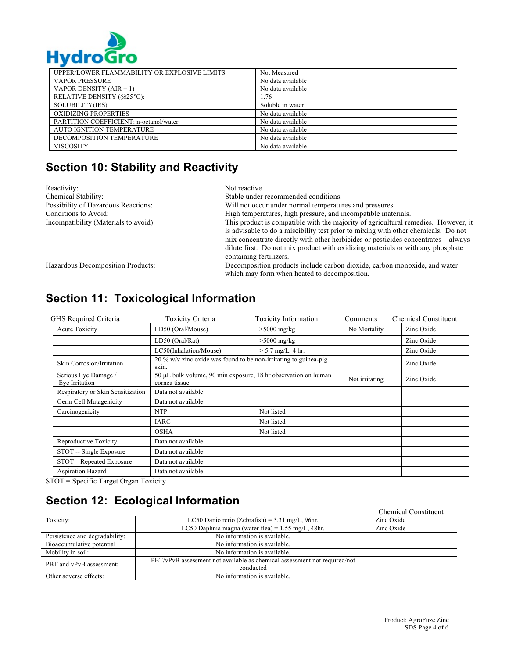

| . . ,                                        |                   |
|----------------------------------------------|-------------------|
| UPPER/LOWER FLAMMABILITY OR EXPLOSIVE LIMITS | Not Measured      |
| <b>VAPOR PRESSURE</b>                        | No data available |
| VAPOR DENSITY $(AIR = 1)$                    | No data available |
| RELATIVE DENSITY (@25 °C):                   | .76               |
| SOLUBILITY(IES)                              | Soluble in water  |
| OXIDIZING PROPERTIES                         | No data available |
| PARTITION COEFFICIENT: n-octanol/water       | No data available |
| <b>AUTO IGNITION TEMPERATURE</b>             | No data available |
| DECOMPOSITION TEMPERATURE                    | No data available |
| <b>VISCOSITY</b>                             | No data available |

# **Section 10: Stability and Reactivity**

| Reactivity:                           | Not reactive                                                                                                                                                                                                                                                                                                                                      |
|---------------------------------------|---------------------------------------------------------------------------------------------------------------------------------------------------------------------------------------------------------------------------------------------------------------------------------------------------------------------------------------------------|
| Chemical Stability:                   | Stable under recommended conditions.                                                                                                                                                                                                                                                                                                              |
| Possibility of Hazardous Reactions:   | Will not occur under normal temperatures and pressures.                                                                                                                                                                                                                                                                                           |
| Conditions to Avoid:                  | High temperatures, high pressure, and incompatible materials.                                                                                                                                                                                                                                                                                     |
| Incompatibility (Materials to avoid): | This product is compatible with the majority of agricultural remedies. However, it<br>is advisable to do a miscibility test prior to mixing with other chemicals. Do not<br>mix concentrate directly with other herbicides or pesticides concentrates – always<br>dilute first. Do not mix product with oxidizing materials or with any phosphate |
|                                       | containing fertilizers.                                                                                                                                                                                                                                                                                                                           |
| Hazardous Decomposition Products:     | Decomposition products include carbon dioxide, carbon monoxide, and water<br>which may form when heated to decomposition.                                                                                                                                                                                                                         |

| GHS Required Criteria                  | <b>Toxicity Criteria</b>                                                        | <b>Toxicity Information</b> | Comments       | <b>Chemical Constituent</b> |
|----------------------------------------|---------------------------------------------------------------------------------|-----------------------------|----------------|-----------------------------|
| Acute Toxicity                         | LD50 (Oral/Mouse)                                                               | $>5000$ mg/kg               | No Mortality   | Zinc Oxide                  |
|                                        | LD50 (Oral/Rat)                                                                 | $>5000$ mg/kg               |                | Zinc Oxide                  |
|                                        | LC50(Inhalation/Mouse):                                                         | $> 5.7$ mg/L, 4 hr.         |                | Zinc Oxide                  |
| Skin Corrosion/Irritation              | 20 % w/v zinc oxide was found to be non-irritating to guinea-pig<br>skin.       |                             |                | Zinc Oxide                  |
| Serious Eye Damage /<br>Eve Irritation | 50 µL bulk volume, 90 min exposure, 18 hr observation on human<br>cornea tissue |                             | Not irritating | Zinc Oxide                  |
| Respiratory or Skin Sensitization      | Data not available                                                              |                             |                |                             |
| Germ Cell Mutagenicity                 | Data not available                                                              |                             |                |                             |
| Carcinogenicity                        | <b>NTP</b>                                                                      | Not listed                  |                |                             |
|                                        | <b>IARC</b>                                                                     | Not listed                  |                |                             |
|                                        | <b>OSHA</b>                                                                     | Not listed                  |                |                             |
| Reproductive Toxicity                  | Data not available                                                              |                             |                |                             |
| STOT -- Single Exposure                | Data not available                                                              |                             |                |                             |
| STOT - Repeated Exposure               | Data not available                                                              |                             |                |                             |
| Aspiration Hazard                      | Data not available                                                              |                             |                |                             |

# **Section 11: Toxicological Information**

STOT = Specific Target Organ Toxicity

# **Section 12: Ecological Information**

|                                |                                                                           | <b>Chemical Constituent</b> |
|--------------------------------|---------------------------------------------------------------------------|-----------------------------|
| Toxicity:                      | LC50 Danio rerio (Zebrafish) = $3.31$ mg/L, 96hr.                         | Zinc Oxide                  |
|                                | LC50 Daphnia magna (water flea) = $1.55$ mg/L, 48hr.                      | Zinc Oxide                  |
| Persistence and degradability: | No information is available.                                              |                             |
| Bioaccumulative potential      | No information is available.                                              |                             |
| Mobility in soil:              | No information is available.                                              |                             |
| PBT and vPvB assessment:       | PBT/vPvB assessment not available as chemical assessment not required/not |                             |
|                                | conducted                                                                 |                             |
| Other adverse effects:         | No information is available.                                              |                             |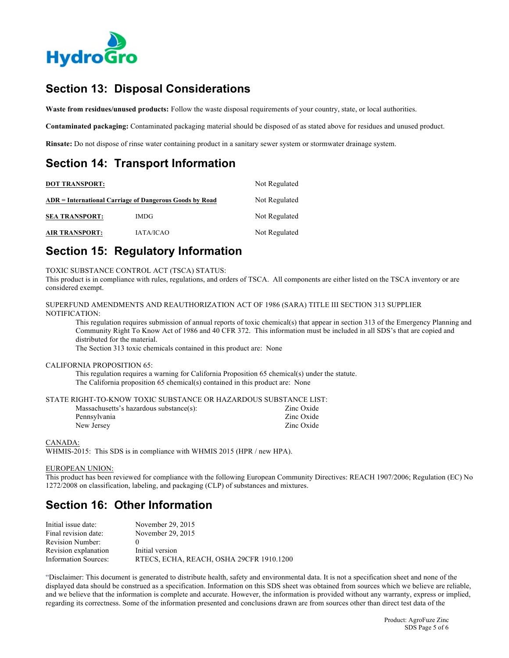

# **Section 13: Disposal Considerations**

**Waste from residues/unused products:** Follow the waste disposal requirements of your country, state, or local authorities.

**Contaminated packaging:** Contaminated packaging material should be disposed of as stated above for residues and unused product.

**Rinsate:** Do not dispose of rinse water containing product in a sanitary sewer system or stormwater drainage system.

# **Section 14: Transport Information**

| <b>DOT TRANSPORT:</b> | Not Regulated                                           |               |
|-----------------------|---------------------------------------------------------|---------------|
|                       | ADR = International Carriage of Dangerous Goods by Road | Not Regulated |
| <b>SEA TRANSPORT:</b> | <b>IMDG</b>                                             | Not Regulated |
| <b>AIR TRANSPORT:</b> | <b>IATA/ICAO</b>                                        | Not Regulated |

# **Section 15: Regulatory Information**

TOXIC SUBSTANCE CONTROL ACT (TSCA) STATUS:

This product is in compliance with rules, regulations, and orders of TSCA. All components are either listed on the TSCA inventory or are considered exempt.

SUPERFUND AMENDMENTS AND REAUTHORIZATION ACT OF 1986 (SARA) TITLE III SECTION 313 SUPPLIER NOTIFICATION:

This regulation requires submission of annual reports of toxic chemical(s) that appear in section 313 of the Emergency Planning and Community Right To Know Act of 1986 and 40 CFR 372. This information must be included in all SDS's that are copied and distributed for the material.

The Section 313 toxic chemicals contained in this product are: None

#### CALIFORNIA PROPOSITION 65:

This regulation requires a warning for California Proposition 65 chemical(s) under the statute. The California proposition 65 chemical(s) contained in this product are: None

#### STATE RIGHT-TO-KNOW TOXIC SUBSTANCE OR HAZARDOUS SUBSTANCE LIST:

| Massachusetts's hazardous substance(s): | Zinc Oxide |
|-----------------------------------------|------------|
| Pennsylvania                            | Zinc Oxide |
| New Jersey                              | Zinc Oxide |

#### CANADA:

WHMIS-2015: This SDS is in compliance with WHMIS 2015 (HPR / new HPA).

#### EUROPEAN UNION:

This product has been reviewed for compliance with the following European Community Directives: REACH 1907/2006; Regulation (EC) No 1272/2008 on classification, labeling, and packaging (CLP) of substances and mixtures.

# **Section 16: Other Information**

| Initial issue date:  | November 29, 2015                        |
|----------------------|------------------------------------------|
| Final revision date: | November 29, 2015                        |
| Revision Number:     |                                          |
| Revision explanation | Initial version                          |
| Information Sources: | RTECS, ECHA, REACH, OSHA 29CFR 1910.1200 |

"Disclaimer: This document is generated to distribute health, safety and environmental data. It is not a specification sheet and none of the displayed data should be construed as a specification. Information on this SDS sheet was obtained from sources which we believe are reliable, and we believe that the information is complete and accurate. However, the information is provided without any warranty, express or implied, regarding its correctness. Some of the information presented and conclusions drawn are from sources other than direct test data of the